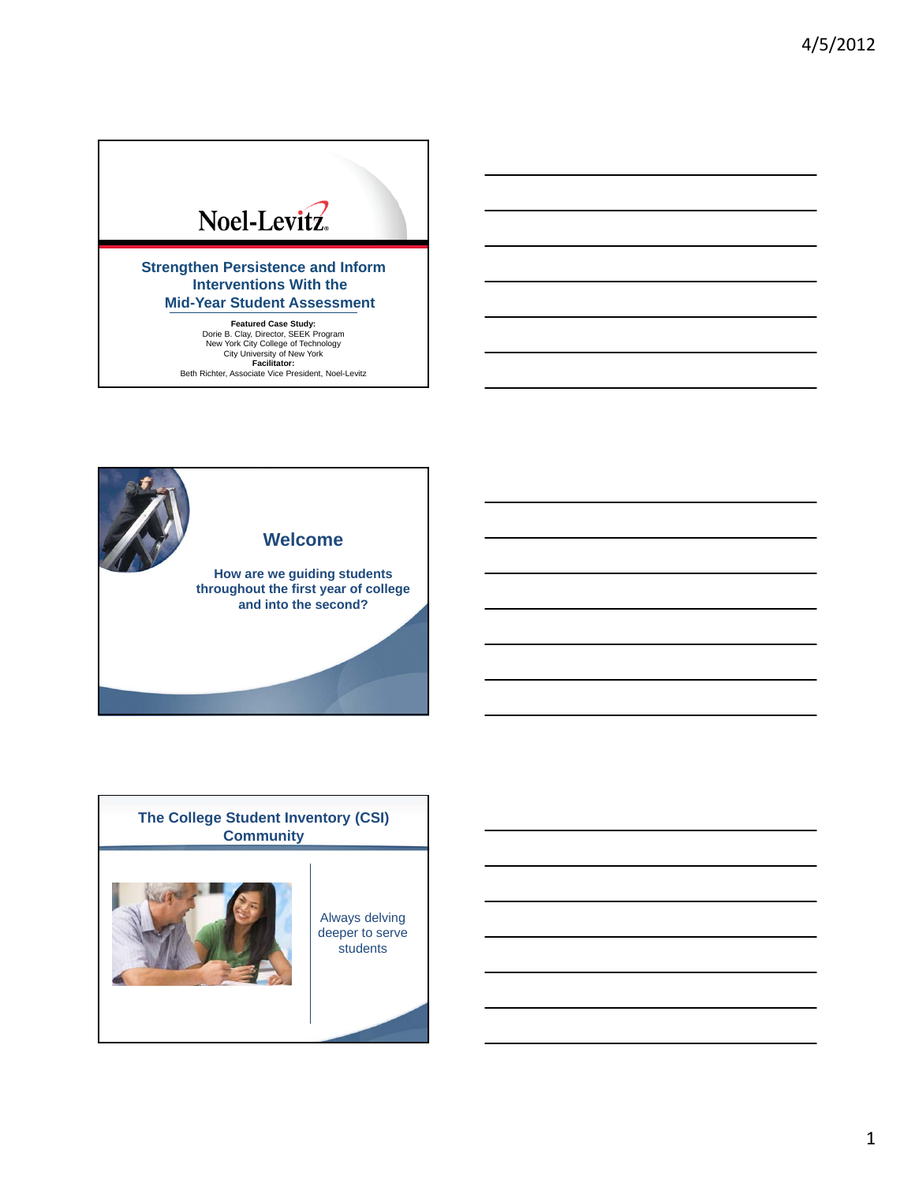# Noel-Levitz.

**Strengthen Persistence and Inform Interventions With the Mid-Year Student Assessment**

**Featured Case Study:**<br>
Dorie B. Clay, Director, SEEK Program<br>
New York City College of Technology<br>
City University of New York<br> **Facilitator:**<br>
Beth Richter, Associate Vice President, Noel-Levitz



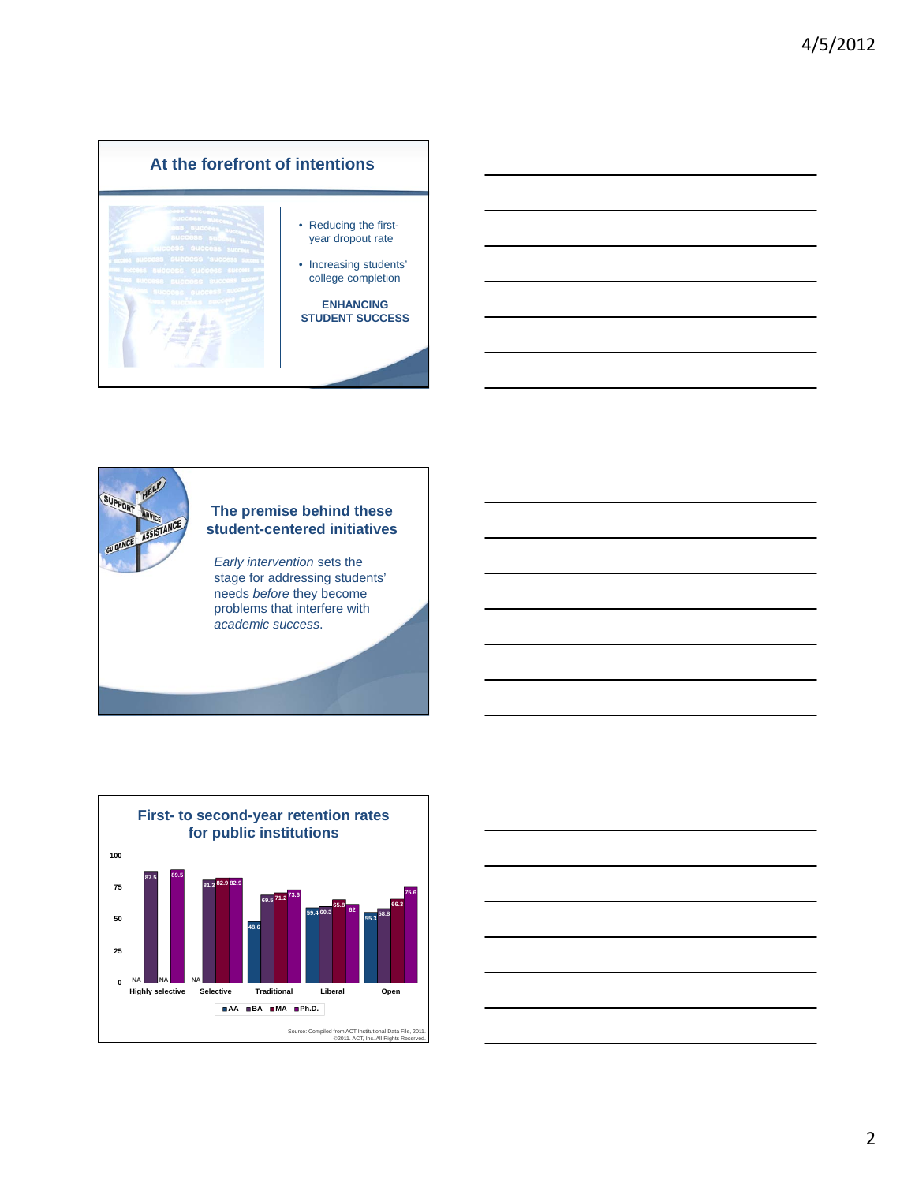







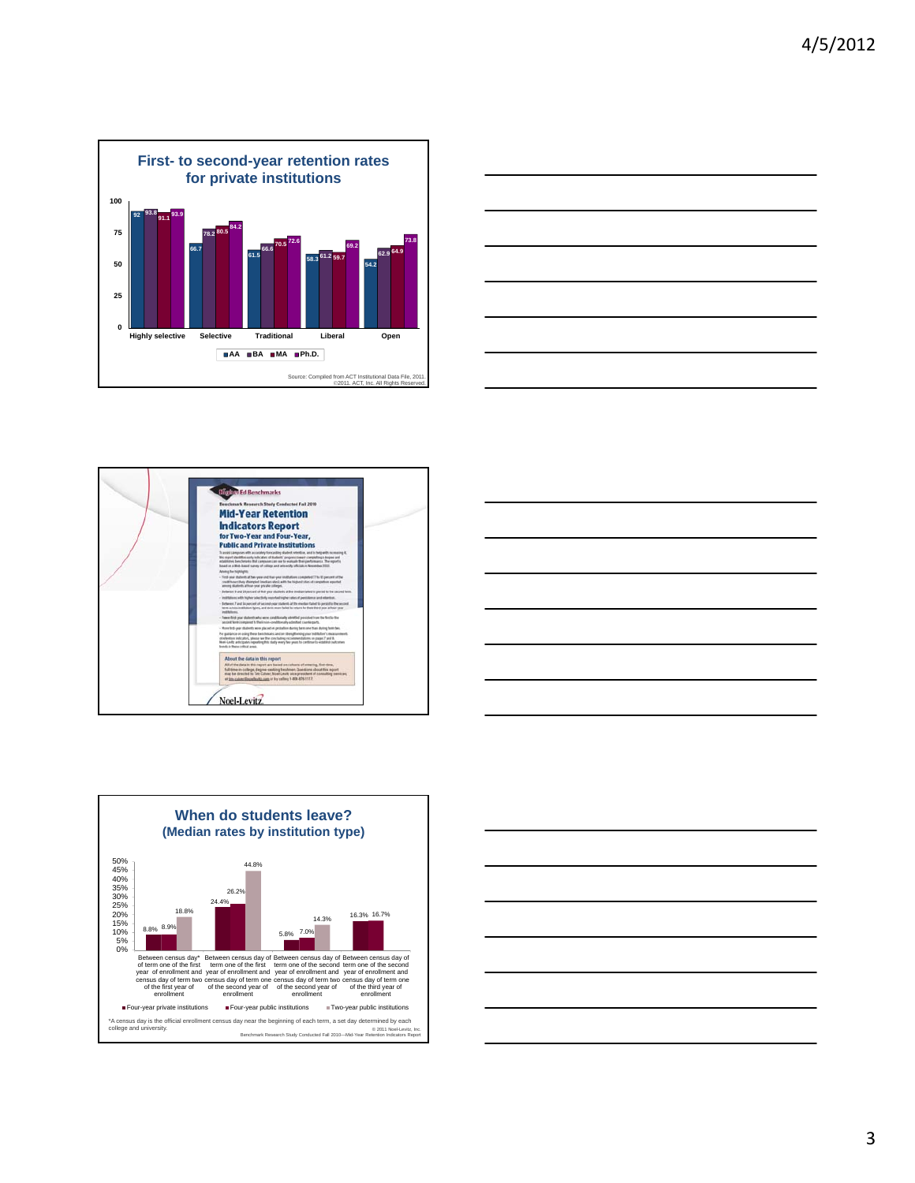

![](_page_2_Figure_2.jpeg)

![](_page_2_Figure_3.jpeg)

![](_page_2_Figure_4.jpeg)

![](_page_2_Figure_5.jpeg)

![](_page_2_Figure_6.jpeg)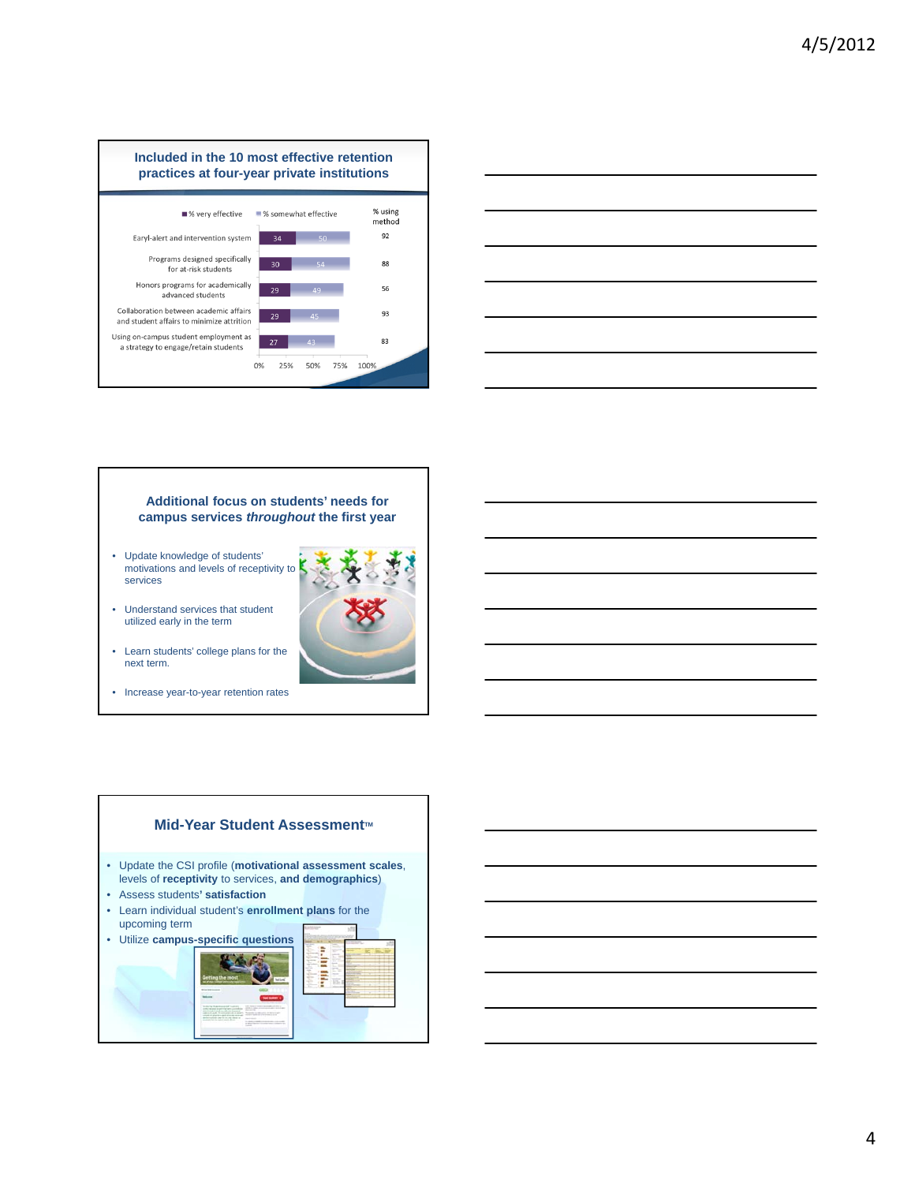![](_page_3_Figure_1.jpeg)

![](_page_3_Figure_2.jpeg)

![](_page_3_Picture_3.jpeg)

![](_page_3_Figure_4.jpeg)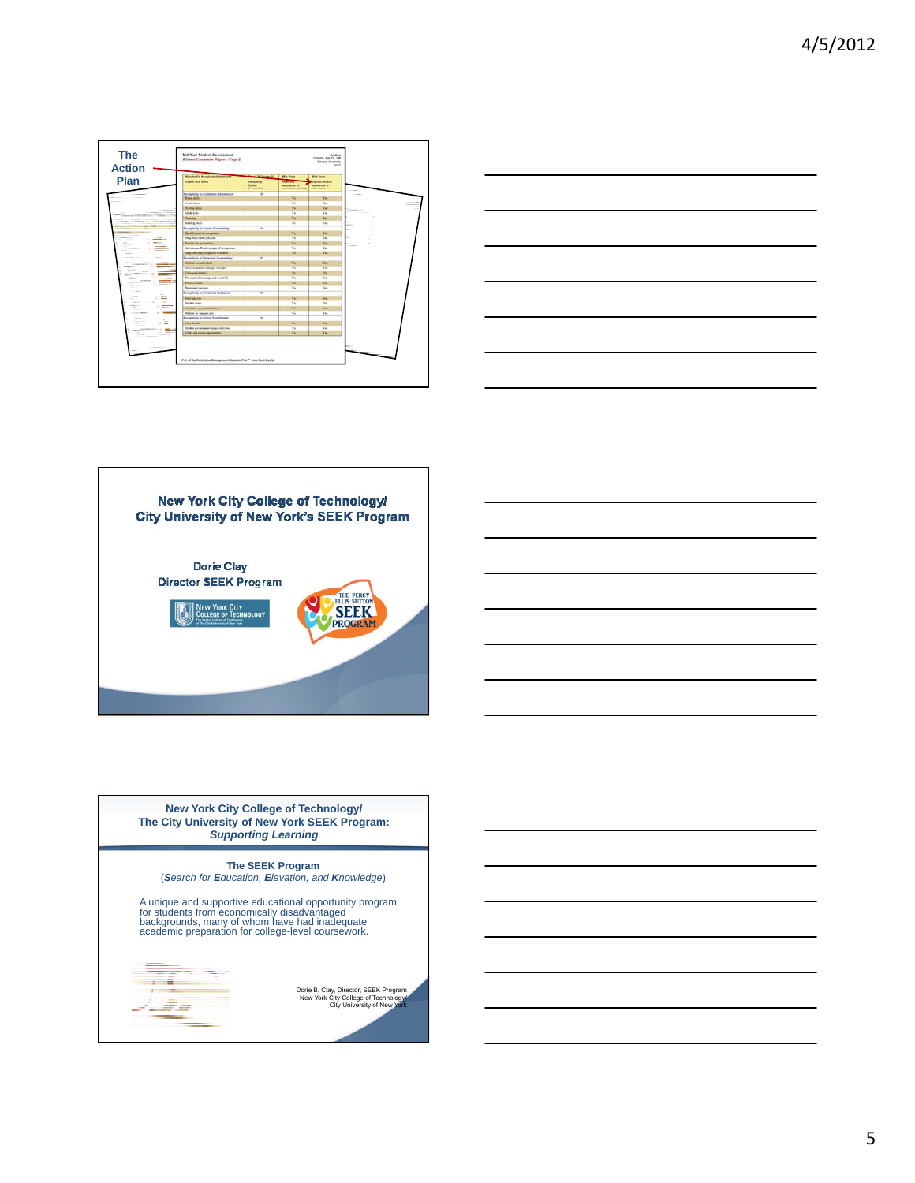| <b>Musham's Newth and Interests</b>                                  | <b>Manufacturer By Black Food</b>        |                                                                              | Mid-Tear                                                                    |
|----------------------------------------------------------------------|------------------------------------------|------------------------------------------------------------------------------|-----------------------------------------------------------------------------|
| Plan<br><b>Scales and Series</b>                                     | Recentralia<br><b>heave</b><br>Penantia) | <b>Received</b><br>answirgton or<br><b><i><u>ANTIBORIZE ATACANTE</u></i></b> | <b>Clark to moving</b><br><b>ANNOUNCED</b><br><b><i><u>SERVANIA</u></i></b> |
| Receptivity to Academic Association                                  | w                                        |                                                                              |                                                                             |
| <b>Rose Adv</b>                                                      |                                          | Ve.                                                                          | Ye.                                                                         |
| <b>Study lasters</b>                                                 |                                          | Tax.                                                                         | Vm                                                                          |
| <b>Nome skills</b><br><b>CONTRACTOR</b>                              |                                          | Ver                                                                          | Ver.                                                                        |
| <b>Made about</b><br>to promote the process service. Contrast a con- |                                          | $V_{\text{IR}}$                                                              | Yes.                                                                        |
| Telephone                                                            |                                          | Yù,                                                                          | Yes.                                                                        |
| --<br><b>Basing Allis</b><br>_______                                 |                                          | <b>Sta</b>                                                                   | Tel:                                                                        |
| <b>Receptivity to Canner Counselling</b>                             | ч                                        |                                                                              |                                                                             |
| Quick size by emption.                                               |                                          | Tu-                                                                          | Yes.                                                                        |
| Neig with connected plan                                             |                                          | Yes.                                                                         | Yes.                                                                        |
| <b>Science the entrapations</b>                                      |                                          | Ver.                                                                         | Ye.                                                                         |
| Advances Drad mages of acception                                     |                                          | Yar.                                                                         | Yes.                                                                        |
| <b>New selecting overgetive of actions</b>                           |                                          | No.                                                                          | Ye.                                                                         |
| <b>Faceptivity to Personal Contracting</b>                           | т                                        |                                                                              |                                                                             |
| Attitude toward school.                                              |                                          | <b>TH</b>                                                                    | w                                                                           |
| Document and Alliance Scrutter                                       |                                          | <b>TH</b>                                                                    | Yes.                                                                        |
| <b><i><u>University Lebel C</u></i></b>                              |                                          | $\sim$                                                                       | n.                                                                          |
| Percent within that hell small life                                  |                                          | Vu.                                                                          | Yes.                                                                        |
| <b>Track across</b>                                                  |                                          | <b>Tel</b>                                                                   | Ve.                                                                         |
| <b>Sautured Morrison</b>                                             |                                          | Var.                                                                         | Vo:                                                                         |
| Receptivity to Financial Container                                   | $\overline{ }$                           |                                                                              |                                                                             |
| Part-Law ish                                                         |                                          | Te-                                                                          | Tw-                                                                         |
| <b>Insieur</b> laws:<br>$=$                                          |                                          | The                                                                          | $\mathbb{R}$                                                                |
| <b>Values proud fourse</b>                                           |                                          | <b>Ter</b>                                                                   | w                                                                           |
| -<br>Tokky is sauce ply<br>$\sim$                                    |                                          | time.                                                                        | Yes.                                                                        |
| <b>Paraproly to Burne Engineers</b>                                  | и                                        |                                                                              |                                                                             |
| îЪ,<br>Two Roads                                                     |                                          | Ve.                                                                          | Va.                                                                         |
| Index processes today artistic<br>-2001-01                           |                                          | $V_{\text{IR}}$                                                              | Yes.                                                                        |
| Cult ad mot equipment                                                |                                          | Ve.                                                                          | Ym.                                                                         |

![](_page_4_Figure_2.jpeg)

![](_page_4_Picture_3.jpeg)

**New York City College of Technology/ The City University of New York SEEK Program:**  *Supporting Learning*

**The SEEK Program** 

(*Search for Education, Elevation, and Knowledge*)

A unique and supportive educational opportunity program for students from economically disadvantaged backgrounds, many of whom have had inadequate academic preparation for college-level coursework.

**Contract** 

∄g

Dorie B. Clay, Director, SEEK Program New York City College of Technology/ City University of New York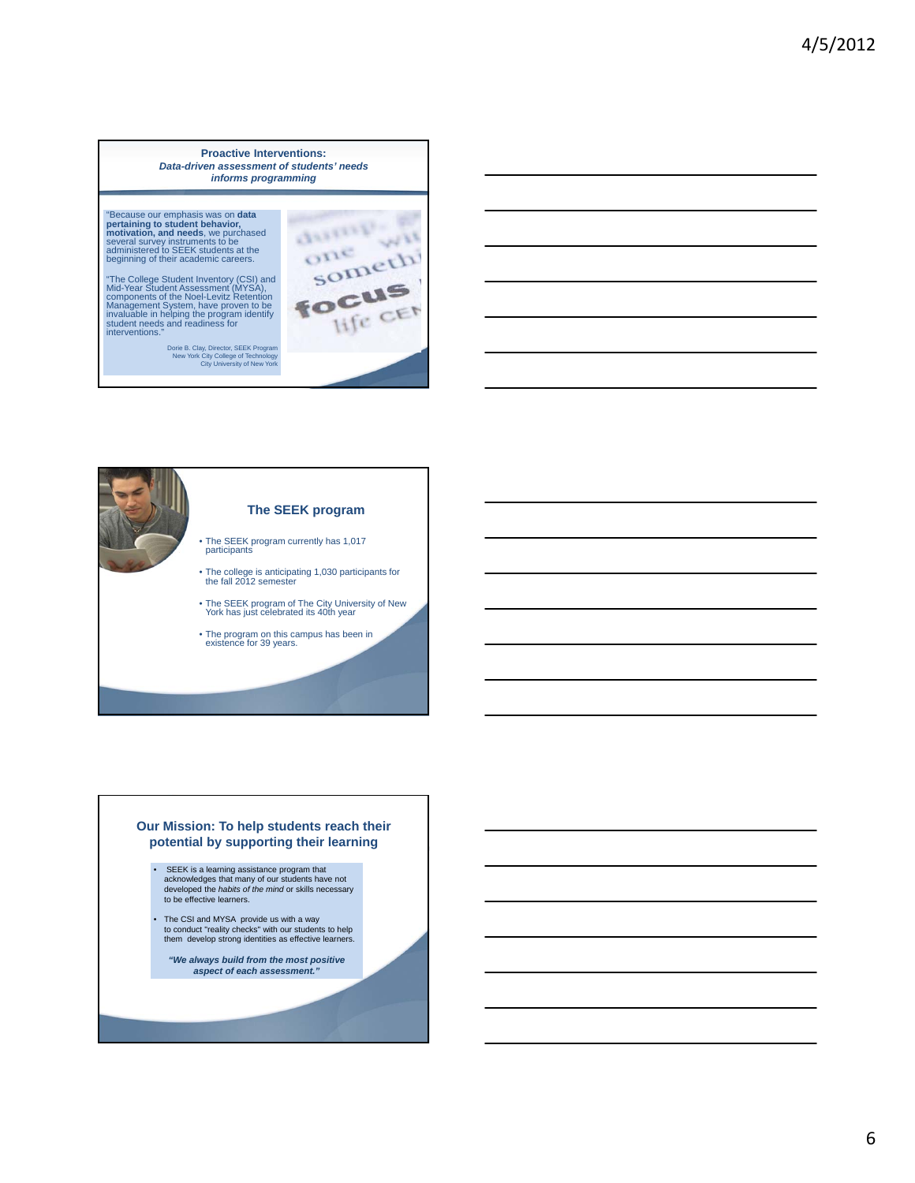**Proactive Interventions:** *Data-driven assessment of students' needs informs programming*

"Because our emphasis was on **data pertaining to student behavior, motivation, and needs**, we purchased several survey instruments to be administered to SEEK students at the beginning of their academic careers.

"The College Student Inventory (CSI) and<br>Mid-Year Student Assessment (MYSA),<br>components of the Noel-Levitz Retention<br>Management System, have proven to be<br>tivaluable in helping the program identity<br>student needs and readine

Dorie B. Clay, Director, SEEK Program New York City College of Technology City University of New York

![](_page_5_Picture_5.jpeg)

![](_page_5_Figure_6.jpeg)

#### **Our Mission: To help students reach their potential by supporting their learning**

- SEEK is a learning assistance program that acknowledges that many of our students have not developed the *habits of the mind* or skills necessary to be effective learners.
- The CSI and MYSA provide us with a way to conduct "reality checks" with our students to help them develop strong identities as effective learners.
	- *Strength-based "We always build from the most positive aspect of each assessment."*

*approach*

What is the highest street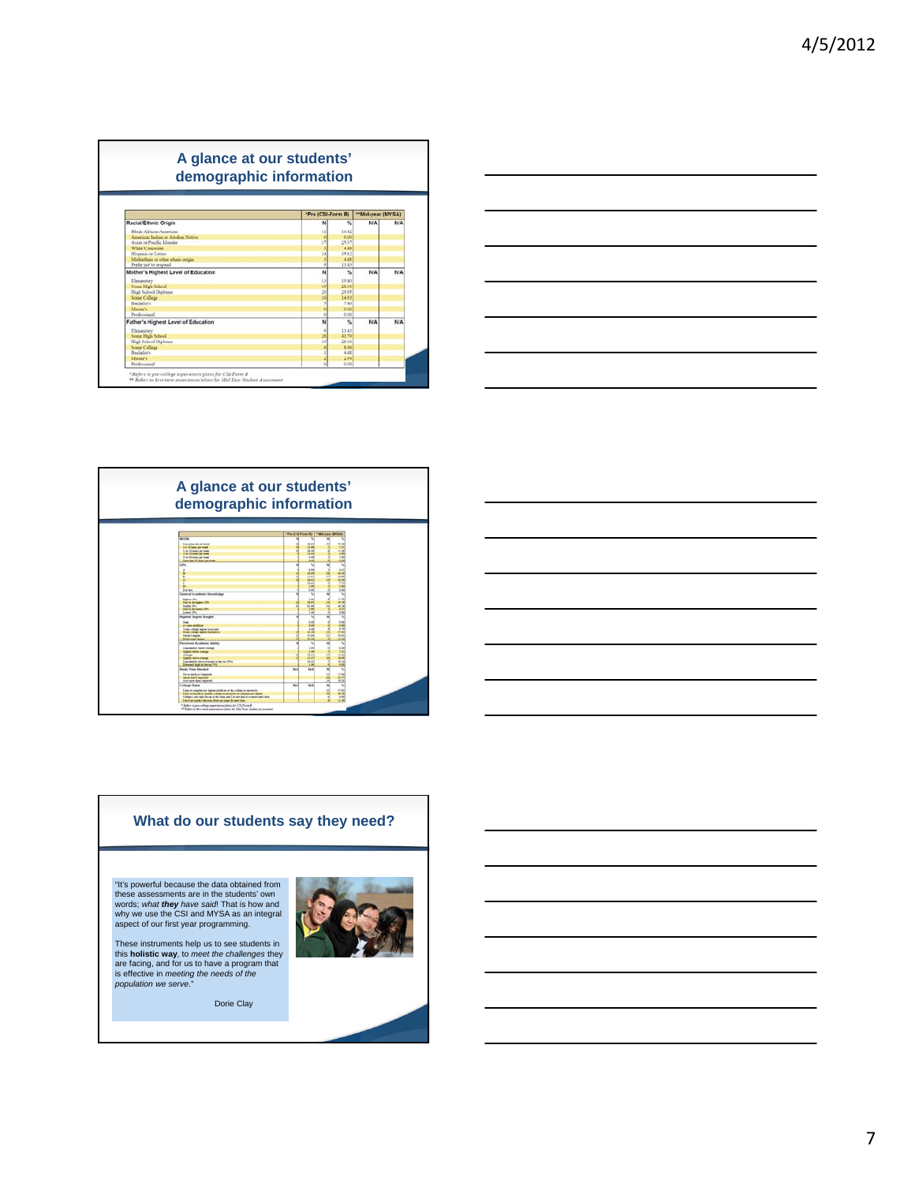![](_page_6_Figure_1.jpeg)

![](_page_6_Figure_2.jpeg)

![](_page_6_Figure_3.jpeg)

![](_page_6_Figure_4.jpeg)

## **What do our students say they need?**

"It's powerful because the data obtained from these assessments are in the students' own words; *what they have said*! That is how and why we use the CSI and MYSA as an integral aspect of our first year programming.

These instruments help us to see students in this **holistic way**, to *meet the challenges* they are facing, and for us to have a program that is effective in *meeting the needs of the population we serve*."

Dorie Clay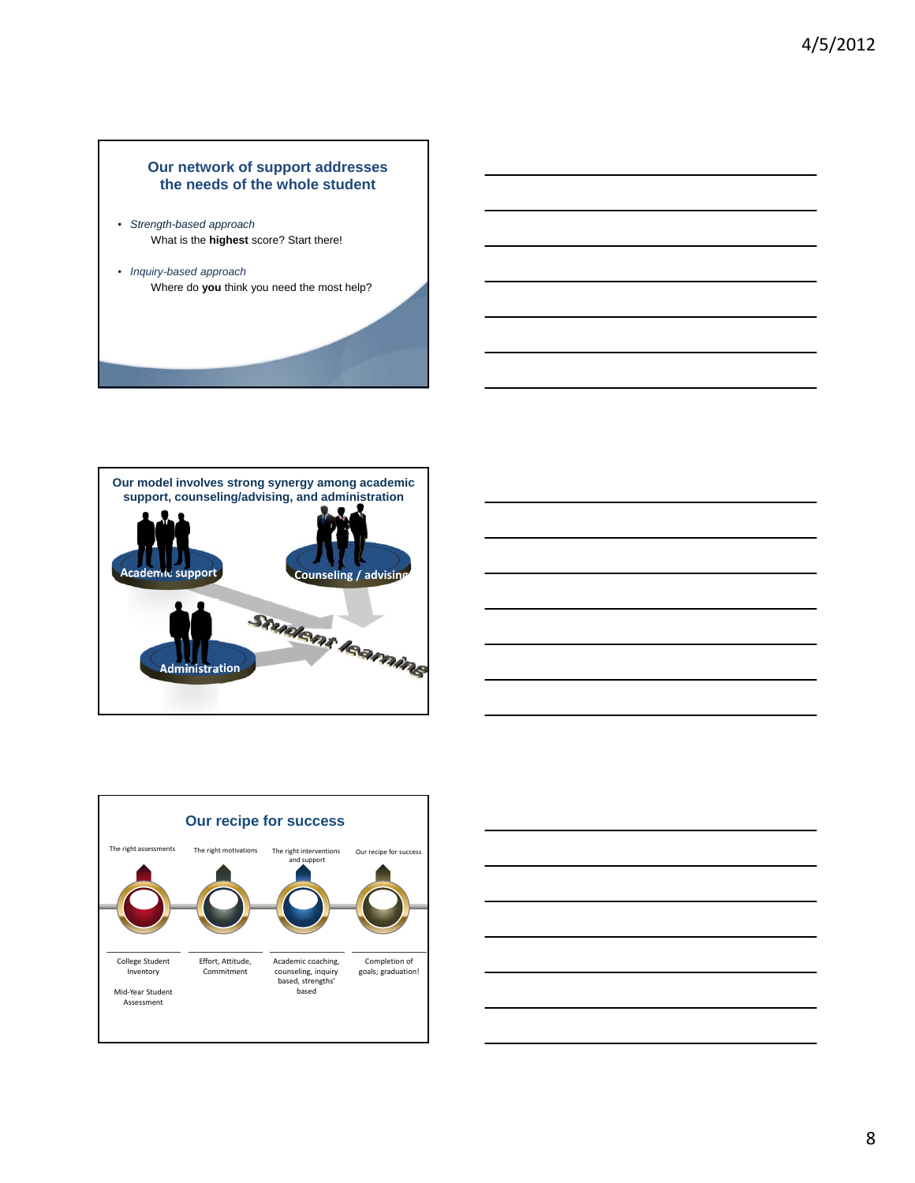### **Our network of support addresses the needs of the whole student**

- *Strength-based approach* What is the **highest** score? Start there!
- *Inquiry-based approach* Where do **you** think you need the most help?

![](_page_7_Picture_4.jpeg)

![](_page_7_Picture_5.jpeg)

![](_page_7_Figure_6.jpeg)

![](_page_7_Figure_7.jpeg)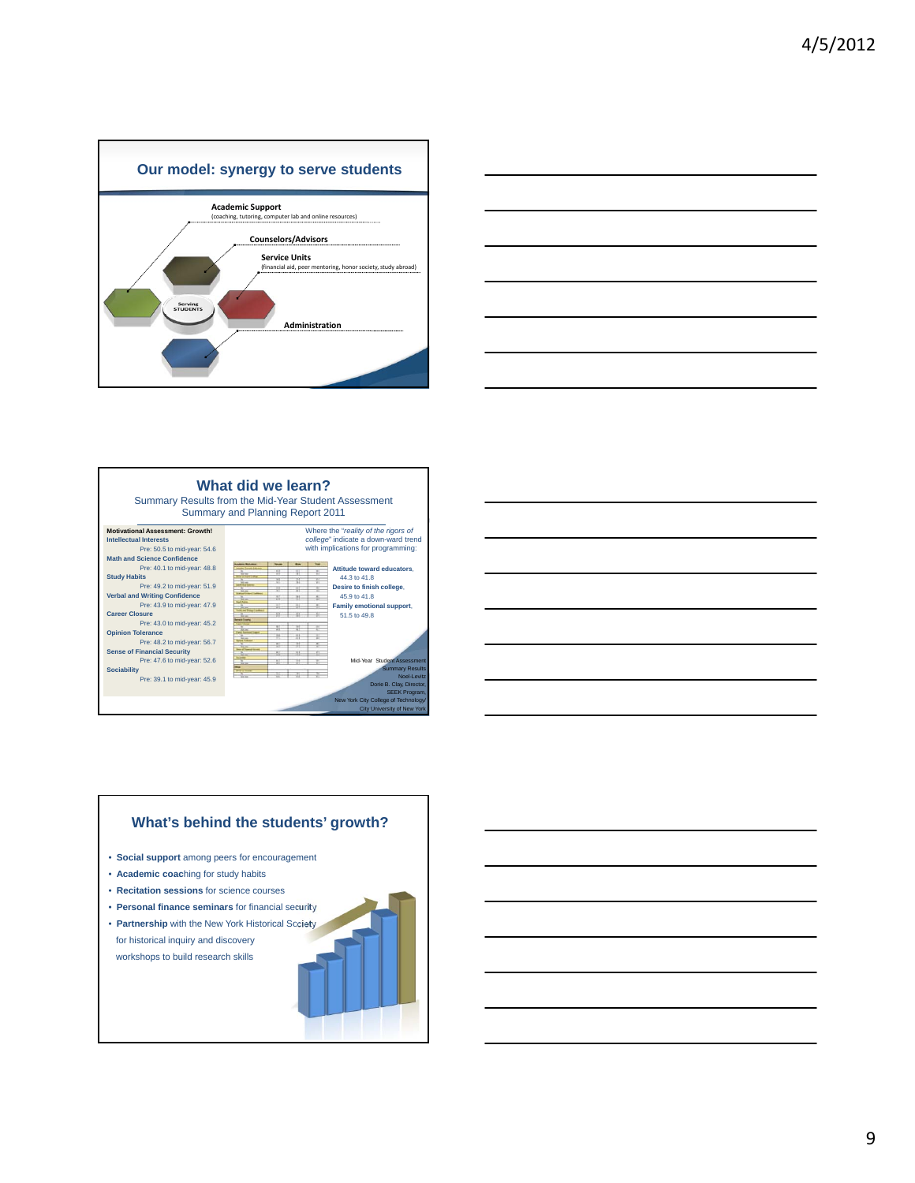![](_page_8_Figure_1.jpeg)

![](_page_8_Figure_2.jpeg)

![](_page_8_Figure_3.jpeg)

![](_page_8_Figure_4.jpeg)

![](_page_8_Figure_5.jpeg)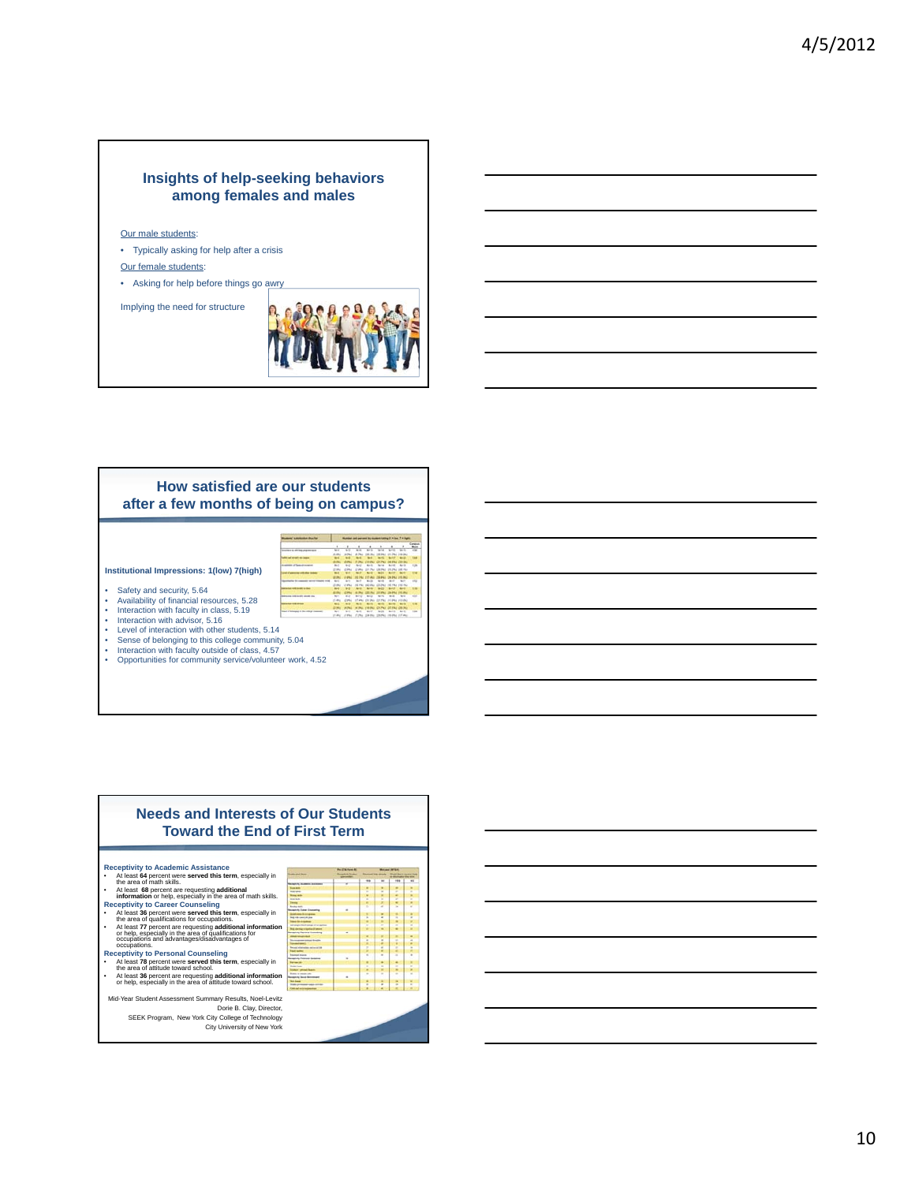### **Insights of help-seeking behaviors among females and males**

#### Our male students:

- Typically asking for help after a crisis
- Our female students:
- Asking for help before things go awry

Implying the need for structure

![](_page_9_Picture_7.jpeg)

#### **How satisfied are our students after a few months of being on campus?**

![](_page_9_Figure_9.jpeg)

**Institutional Impressions: 1(low) 7(high)**

- Safety and security, 5.64
- Availability of financial resources, 5.28
- Interaction with faculty in class, 5.19 Interaction with advisor, 5.16
- 
- Level of interaction with other students, 5.14
- Sense of belonging to this college community, 5.04 Interaction with faculty outside of class, 4.57
- Interaction with faculty outside of class, 4.57<br>• Opportunities for community service/volunteer work, 4.52

![](_page_9_Figure_18.jpeg)

![](_page_9_Figure_19.jpeg)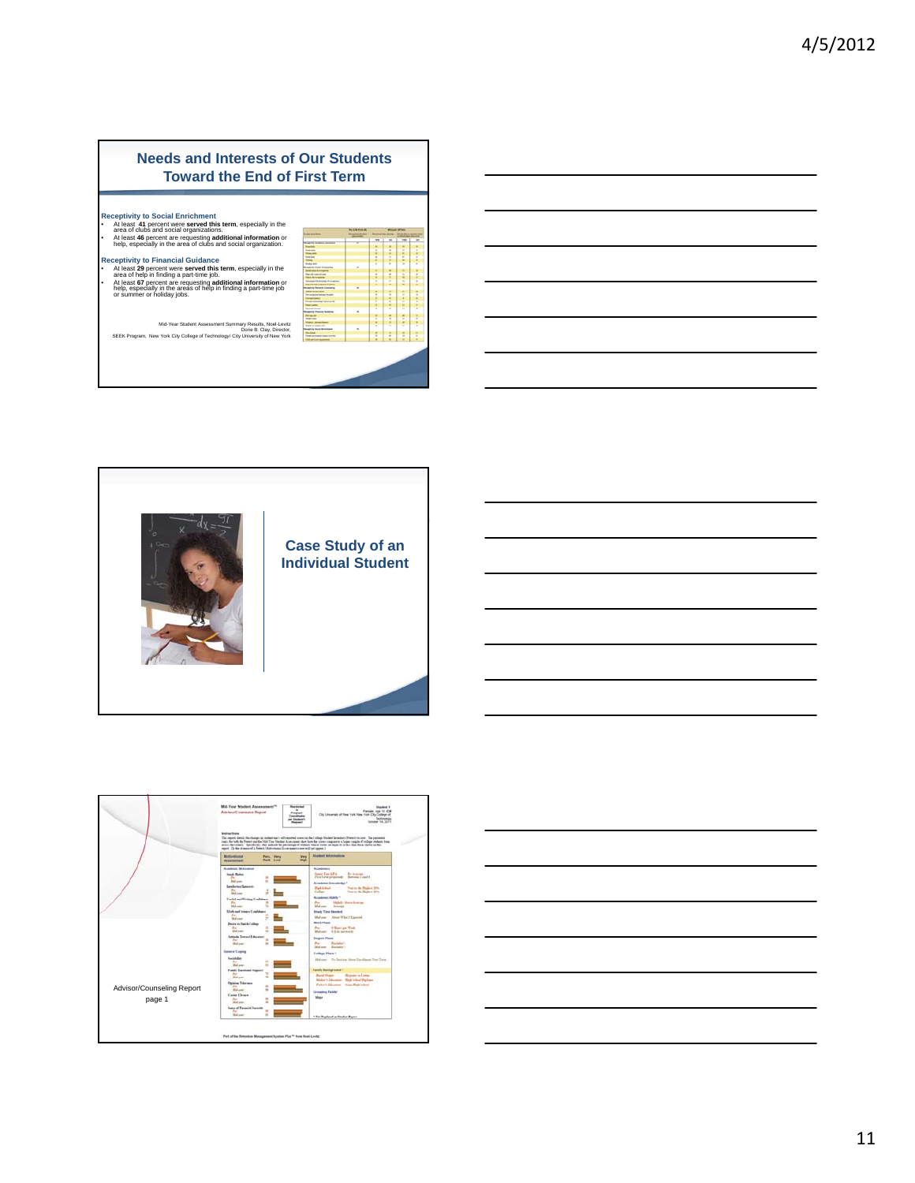![](_page_10_Figure_1.jpeg)

**Receptivity to Financial Guidance** • At least **<sup>29</sup>** percent were **served this term**, especially in the area of help in finding a part-time job. • At least **<sup>67</sup>** percent are requesting **additional information** or help, especially in the areas of help in finding a part-time job or summer or holiday jobs.

|                                       |   | 169 | $\overline{a}$ | 194           | $\overline{a}$ |
|---------------------------------------|---|-----|----------------|---------------|----------------|
| to disabelia incontental              |   |     |                |               |                |
|                                       |   |     |                | u             |                |
| $\frac{1}{2}$                         |   |     |                | F             | ĵ              |
|                                       |   | š   | š              | ٠             |                |
|                                       |   | ÷   |                | Ŧ             |                |
|                                       |   | ï   | i              |               | ł              |
| $\overline{a}$                        |   | ٦   | ٠              | t             |                |
|                                       | × |     | ÷              | Ξ             |                |
|                                       |   |     |                |               |                |
| <b>CONTRACTOR</b>                     |   | ٠   | i              | τ             | i              |
| <b>Africa</b>                         |   | ś   |                | š             |                |
| a fast one doctors.                   |   | ٠   |                | τ             |                |
|                                       |   |     |                |               |                |
| any coatre d'ame<br>4 fevril (sanata) | ٠ |     | ī              |               |                |
|                                       |   |     |                |               |                |
| and was tops                          |   | î   | $\frac{1}{2}$  | ī             | 4 万 月 日 月 日    |
|                                       |   |     |                | t             |                |
| <b>Internet selection</b>             |   | 7   | $\frac{1}{2}$  |               |                |
|                                       |   | t   |                | ٠             |                |
| Ģ.                                    | ÷ |     |                | ٠             |                |
| v                                     | ٠ |     |                |               |                |
|                                       |   |     |                |               |                |
|                                       |   |     | $\frac{1}{2}$  |               | ×              |
| a                                     |   | i.  |                | $\frac{1}{2}$ | t              |
| to because also                       |   |     | ٠              |               |                |
| <b><i><u>GRAND</u></i></b>            | × |     | į              |               | 5              |
|                                       |   |     |                | š             |                |
| <b>ATTACHMENT</b>                     |   | ī   | $\overline{a}$ |               | B              |
|                                       |   | ī   | ÷              | c             |                |

Mid-Year Student Assessment Summary Results, Noel-Levitz<br>Dorie B. Clay, Director,<br>SEEK Program, New York City College of Technology/ City University of New York

![](_page_10_Picture_6.jpeg)

![](_page_10_Figure_7.jpeg)

![](_page_10_Figure_8.jpeg)

![](_page_10_Figure_9.jpeg)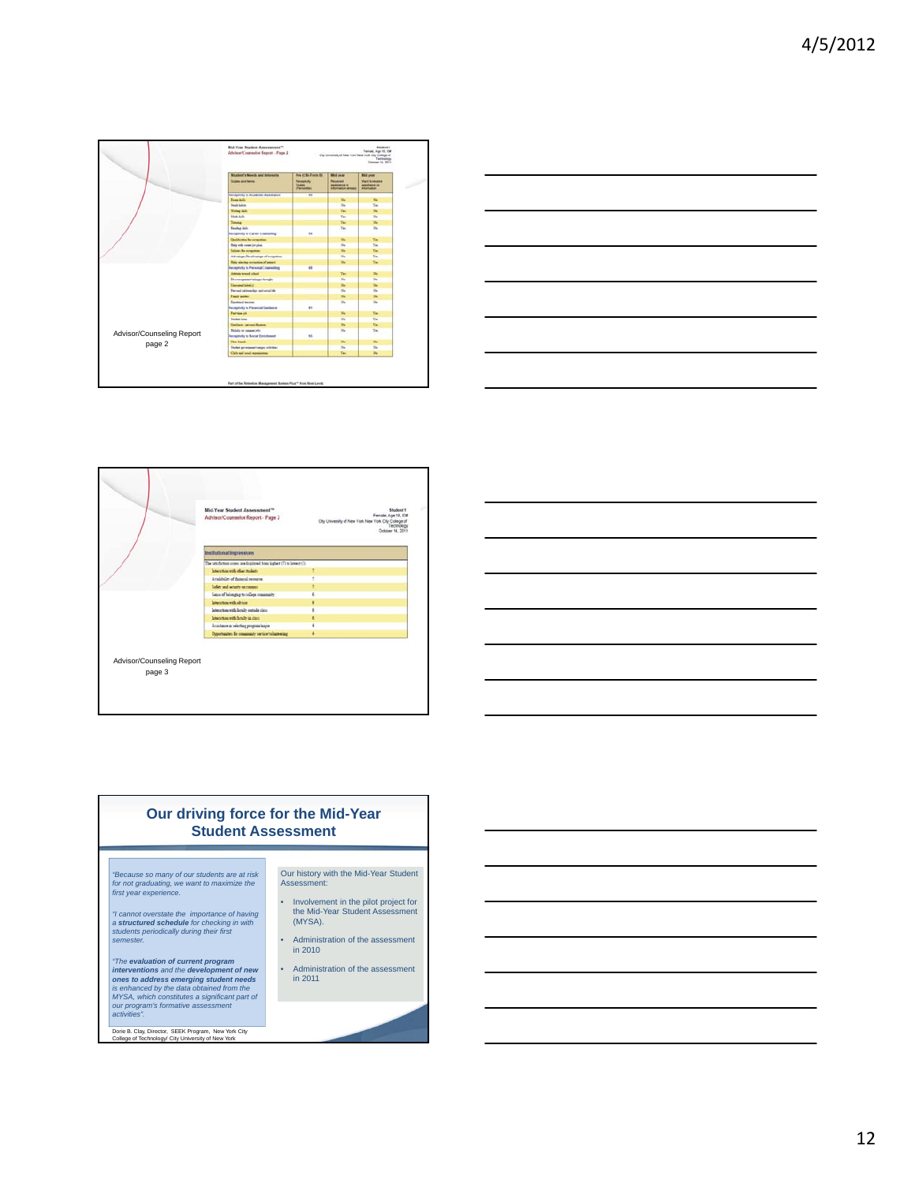![](_page_11_Figure_1.jpeg)

![](_page_11_Figure_2.jpeg)

|                           | Mid-Year Student Assessment <sup>30</sup><br>Advisor/Counselor Report - Page 3 | Student 1<br>Female, Age 19, IDE<br>City University of New York New York City College of<br>Technology<br>October 14, 2011 |
|---------------------------|--------------------------------------------------------------------------------|----------------------------------------------------------------------------------------------------------------------------|
|                           | Institutional Impressions                                                      |                                                                                                                            |
|                           | The saturation somes are displayed from highest (7) to lowest (1).             |                                                                                                                            |
|                           | Interaction with other students                                                |                                                                                                                            |
|                           | Availability of fauncial resources                                             |                                                                                                                            |
|                           | Sales and security on compas-                                                  |                                                                                                                            |
|                           | Satus of belonging to college community                                        |                                                                                                                            |
|                           | Interaction with advisor                                                       |                                                                                                                            |
|                           | lateaction with fiendy entails class                                           |                                                                                                                            |
|                           | Interaction with family as class                                               |                                                                                                                            |
|                           | Anichaus is selecting program hajor                                            |                                                                                                                            |
|                           | Opportunities for community service/volunteering                               |                                                                                                                            |
| Advisor/Counseling Report |                                                                                |                                                                                                                            |

![](_page_11_Figure_4.jpeg)

# **Our driving force for the Mid-Year Student Assessment**

*"Because so many of our students are at risk for not graduating, we want to maximize the first year experience.*

*"I cannot overstate the importance of having a structured schedule for checking in with students periodically during their first semester.*

The evaluation of current program<br>interventions and the development of new<br>ones to address emerging student needs<br>is enhanced by the data obtained from the<br>MYSA, which constitutes a significant part of<br>our program's forma

Dorie B. Clay, Director, SEEK Program, New York City College of Technology/ City University of New York

Our history with the Mid-Year Student Assessment:

- Involvement in the pilot project for the Mid-Year Student Assessment (MYSA).
- Administration of the assessment in 2010

• Administration of the assessment in 2011